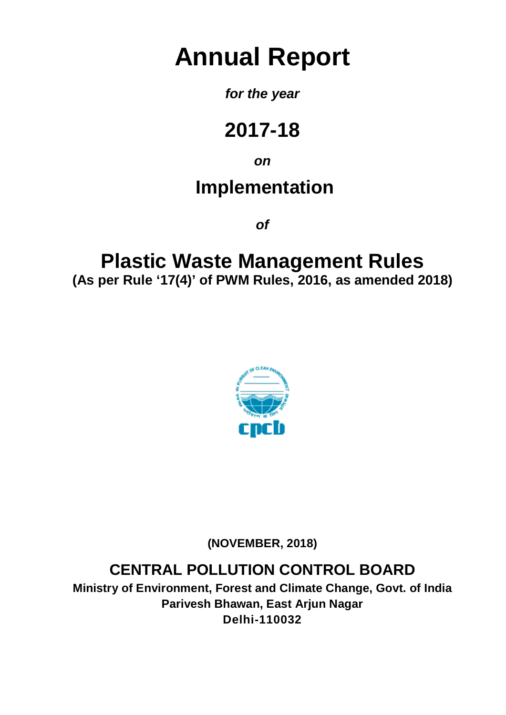# **Annual Report**

### *for the year*

## **2017-18**

*on*

### **Implementation**

*of*

### **Plastic Waste Management Rules (As per Rule '17(4)' of PWM Rules, 2016, as amended 2018)**



**(NOVEMBER, 2018)**

### **CENTRAL POLLUTION CONTROL BOARD**

**Ministry of Environment, Forest and Climate Change, Govt. of India Parivesh Bhawan, East Arjun Nagar Delhi-110032**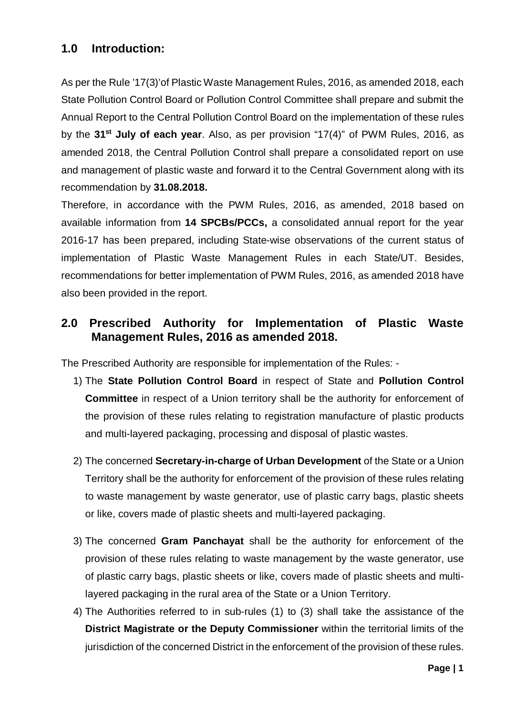#### **1.0 Introduction:**

As per the Rule '17(3)'of Plastic Waste Management Rules, 2016, as amended 2018, each State Pollution Control Board or Pollution Control Committee shall prepare and submit the Annual Report to the Central Pollution Control Board on the implementation of these rules by the **31st July of each year**. Also, as per provision "17(4)" of PWM Rules, 2016, as amended 2018, the Central Pollution Control shall prepare a consolidated report on use and management of plastic waste and forward it to the Central Government along with its recommendation by **31.08.2018.**

Therefore, in accordance with the PWM Rules, 2016, as amended, 2018 based on available information from **14 SPCBs/PCCs,** a consolidated annual report for the year 2016-17 has been prepared, including State-wise observations of the current status of implementation of Plastic Waste Management Rules in each State/UT. Besides, recommendations for better implementation of PWM Rules, 2016, as amended 2018 have also been provided in the report.

#### **2.0 Prescribed Authority for Implementation of Plastic Waste Management Rules, 2016 as amended 2018.**

The Prescribed Authority are responsible for implementation of the Rules: -

- 1) The **State Pollution Control Board** in respect of State and **Pollution Control Committee** in respect of a Union territory shall be the authority for enforcement of the provision of these rules relating to registration manufacture of plastic products and multi-layered packaging, processing and disposal of plastic wastes.
- 2) The concerned **Secretary-in-charge of Urban Development** of the State or a Union Territory shall be the authority for enforcement of the provision of these rules relating to waste management by waste generator, use of plastic carry bags, plastic sheets or like, covers made of plastic sheets and multi-layered packaging.
- 3) The concerned **Gram Panchayat** shall be the authority for enforcement of the provision of these rules relating to waste management by the waste generator, use of plastic carry bags, plastic sheets or like, covers made of plastic sheets and multilayered packaging in the rural area of the State or a Union Territory.
- 4) The Authorities referred to in sub-rules (1) to (3) shall take the assistance of the **District Magistrate or the Deputy Commissioner** within the territorial limits of the jurisdiction of the concerned District in the enforcement of the provision of these rules.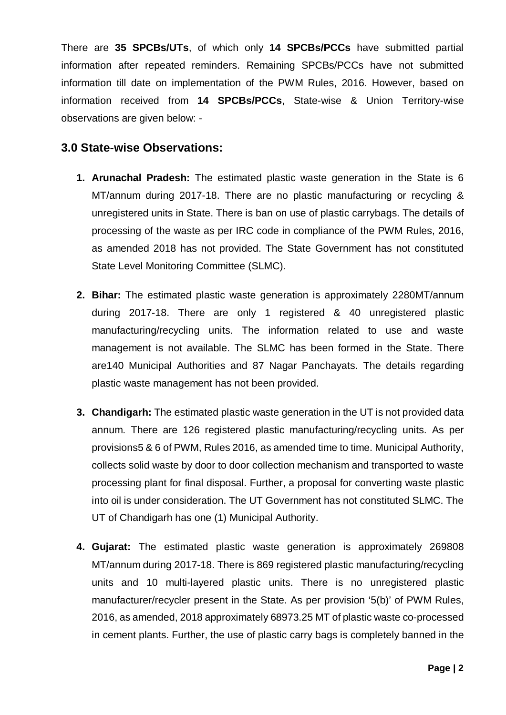There are **35 SPCBs/UTs**, of which only **14 SPCBs/PCCs** have submitted partial information after repeated reminders. Remaining SPCBs/PCCs have not submitted information till date on implementation of the PWM Rules, 2016. However, based on information received from **14 SPCBs/PCCs**, State-wise & Union Territory-wise observations are given below: -

#### **3.0 State-wise Observations:**

- **1. Arunachal Pradesh:** The estimated plastic waste generation in the State is 6 MT/annum during 2017-18. There are no plastic manufacturing or recycling & unregistered units in State. There is ban on use of plastic carrybags. The details of processing of the waste as per IRC code in compliance of the PWM Rules, 2016, as amended 2018 has not provided. The State Government has not constituted State Level Monitoring Committee (SLMC).
- **2. Bihar:** The estimated plastic waste generation is approximately 2280MT/annum during 2017-18. There are only 1 registered & 40 unregistered plastic manufacturing/recycling units. The information related to use and waste management is not available. The SLMC has been formed in the State. There are140 Municipal Authorities and 87 Nagar Panchayats. The details regarding plastic waste management has not been provided.
- **3. Chandigarh:** The estimated plastic waste generation in the UT is not provided data annum. There are 126 registered plastic manufacturing/recycling units. As per provisions5 & 6 of PWM, Rules 2016, as amended time to time. Municipal Authority, collects solid waste by door to door collection mechanism and transported to waste processing plant for final disposal. Further, a proposal for converting waste plastic into oil is under consideration. The UT Government has not constituted SLMC. The UT of Chandigarh has one (1) Municipal Authority.
- **4. Gujarat:** The estimated plastic waste generation is approximately 269808 MT/annum during 2017-18. There is 869 registered plastic manufacturing/recycling units and 10 multi-layered plastic units. There is no unregistered plastic manufacturer/recycler present in the State. As per provision '5(b)' of PWM Rules, 2016, as amended, 2018 approximately 68973.25 MT of plastic waste co-processed in cement plants. Further, the use of plastic carry bags is completely banned in the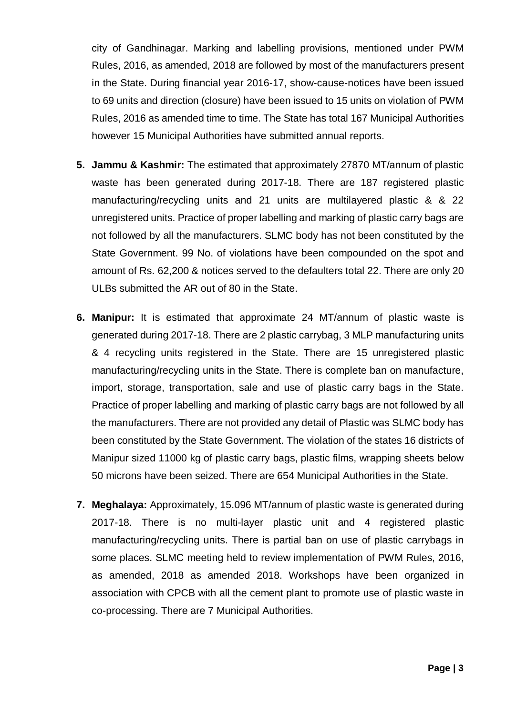city of Gandhinagar. Marking and labelling provisions, mentioned under PWM Rules, 2016, as amended, 2018 are followed by most of the manufacturers present in the State. During financial year 2016-17, show-cause-notices have been issued to 69 units and direction (closure) have been issued to 15 units on violation of PWM Rules, 2016 as amended time to time. The State has total 167 Municipal Authorities however 15 Municipal Authorities have submitted annual reports.

- **5. Jammu & Kashmir:** The estimated that approximately 27870 MT/annum of plastic waste has been generated during 2017-18. There are 187 registered plastic manufacturing/recycling units and 21 units are multilayered plastic & & 22 unregistered units. Practice of proper labelling and marking of plastic carry bags are not followed by all the manufacturers. SLMC body has not been constituted by the State Government. 99 No. of violations have been compounded on the spot and amount of Rs. 62,200 & notices served to the defaulters total 22. There are only 20 ULBs submitted the AR out of 80 in the State.
- **6. Manipur:** It is estimated that approximate 24 MT/annum of plastic waste is generated during 2017-18. There are 2 plastic carrybag, 3 MLP manufacturing units & 4 recycling units registered in the State. There are 15 unregistered plastic manufacturing/recycling units in the State. There is complete ban on manufacture, import, storage, transportation, sale and use of plastic carry bags in the State. Practice of proper labelling and marking of plastic carry bags are not followed by all the manufacturers. There are not provided any detail of Plastic was SLMC body has been constituted by the State Government. The violation of the states 16 districts of Manipur sized 11000 kg of plastic carry bags, plastic films, wrapping sheets below 50 microns have been seized. There are 654 Municipal Authorities in the State.
- **7. Meghalaya:** Approximately, 15.096 MT/annum of plastic waste is generated during 2017-18. There is no multi-layer plastic unit and 4 registered plastic manufacturing/recycling units. There is partial ban on use of plastic carrybags in some places. SLMC meeting held to review implementation of PWM Rules, 2016, as amended, 2018 as amended 2018. Workshops have been organized in association with CPCB with all the cement plant to promote use of plastic waste in co-processing. There are 7 Municipal Authorities.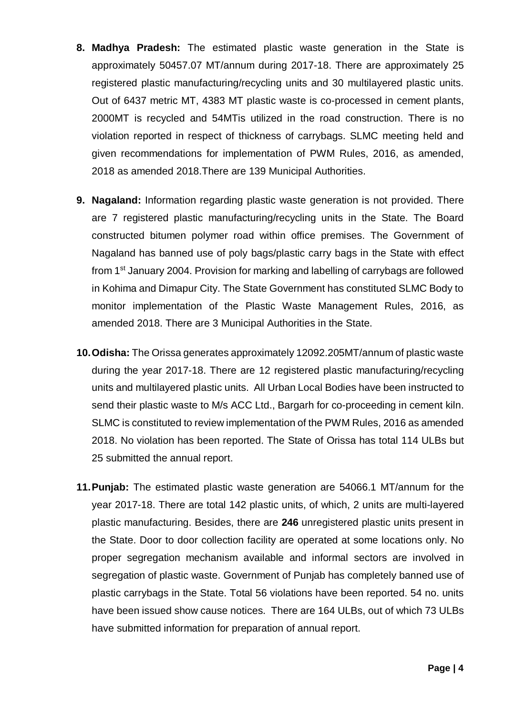- **8. Madhya Pradesh:** The estimated plastic waste generation in the State is approximately 50457.07 MT/annum during 2017-18. There are approximately 25 registered plastic manufacturing/recycling units and 30 multilayered plastic units. Out of 6437 metric MT, 4383 MT plastic waste is co-processed in cement plants, 2000MT is recycled and 54MTis utilized in the road construction. There is no violation reported in respect of thickness of carrybags. SLMC meeting held and given recommendations for implementation of PWM Rules, 2016, as amended, 2018 as amended 2018.There are 139 Municipal Authorities.
- **9. Nagaland:** Information regarding plastic waste generation is not provided. There are 7 registered plastic manufacturing/recycling units in the State. The Board constructed bitumen polymer road within office premises. The Government of Nagaland has banned use of poly bags/plastic carry bags in the State with effect from 1st January 2004. Provision for marking and labelling of carrybags are followed in Kohima and Dimapur City. The State Government has constituted SLMC Body to monitor implementation of the Plastic Waste Management Rules, 2016, as amended 2018. There are 3 Municipal Authorities in the State.
- **10.Odisha:** The Orissa generates approximately 12092.205MT/annum of plastic waste during the year 2017-18. There are 12 registered plastic manufacturing/recycling units and multilayered plastic units. All Urban Local Bodies have been instructed to send their plastic waste to M/s ACC Ltd., Bargarh for co-proceeding in cement kiln. SLMC is constituted to review implementation of the PWM Rules, 2016 as amended 2018. No violation has been reported. The State of Orissa has total 114 ULBs but 25 submitted the annual report.
- **11.Punjab:** The estimated plastic waste generation are 54066.1 MT/annum for the year 2017-18. There are total 142 plastic units, of which, 2 units are multi-layered plastic manufacturing. Besides, there are **246** unregistered plastic units present in the State. Door to door collection facility are operated at some locations only. No proper segregation mechanism available and informal sectors are involved in segregation of plastic waste. Government of Punjab has completely banned use of plastic carrybags in the State. Total 56 violations have been reported. 54 no. units have been issued show cause notices. There are 164 ULBs, out of which 73 ULBs have submitted information for preparation of annual report.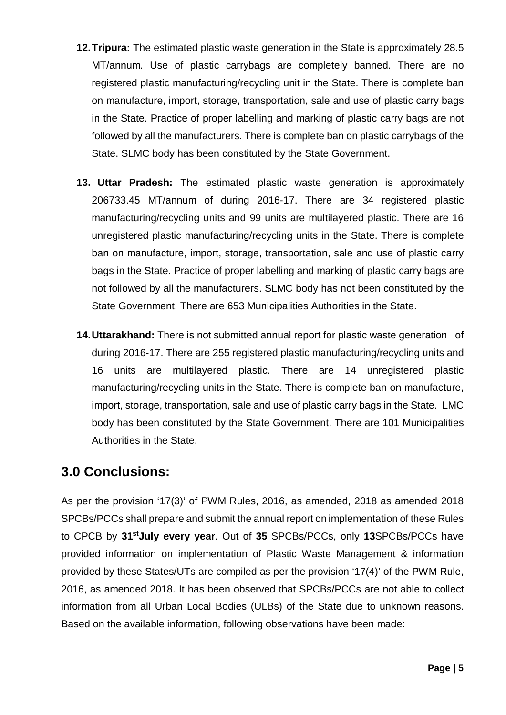- **12.Tripura:** The estimated plastic waste generation in the State is approximately 28.5 MT/annum. Use of plastic carrybags are completely banned. There are no registered plastic manufacturing/recycling unit in the State. There is complete ban on manufacture, import, storage, transportation, sale and use of plastic carry bags in the State. Practice of proper labelling and marking of plastic carry bags are not followed by all the manufacturers. There is complete ban on plastic carrybags of the State. SLMC body has been constituted by the State Government.
- **13. Uttar Pradesh:** The estimated plastic waste generation is approximately 206733.45 MT/annum of during 2016-17. There are 34 registered plastic manufacturing/recycling units and 99 units are multilayered plastic. There are 16 unregistered plastic manufacturing/recycling units in the State. There is complete ban on manufacture, import, storage, transportation, sale and use of plastic carry bags in the State. Practice of proper labelling and marking of plastic carry bags are not followed by all the manufacturers. SLMC body has not been constituted by the State Government. There are 653 Municipalities Authorities in the State.
- **14.Uttarakhand:** There is not submitted annual report for plastic waste generation of during 2016-17. There are 255 registered plastic manufacturing/recycling units and 16 units are multilayered plastic. There are 14 unregistered plastic manufacturing/recycling units in the State. There is complete ban on manufacture, import, storage, transportation, sale and use of plastic carry bags in the State. LMC body has been constituted by the State Government. There are 101 Municipalities Authorities in the State.

#### **3.0 Conclusions:**

As per the provision '17(3)' of PWM Rules, 2016, as amended, 2018 as amended 2018 SPCBs/PCCs shall prepare and submit the annual report on implementation of these Rules to CPCB by **31stJuly every year**. Out of **35** SPCBs/PCCs, only **13**SPCBs/PCCs have provided information on implementation of Plastic Waste Management & information provided by these States/UTs are compiled as per the provision '17(4)' of the PWM Rule, 2016, as amended 2018. It has been observed that SPCBs/PCCs are not able to collect information from all Urban Local Bodies (ULBs) of the State due to unknown reasons. Based on the available information, following observations have been made: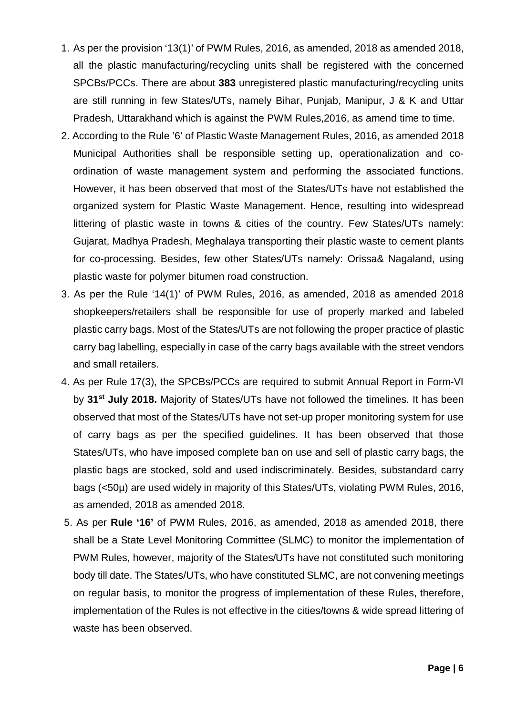- 1. As per the provision '13(1)' of PWM Rules, 2016, as amended, 2018 as amended 2018, all the plastic manufacturing/recycling units shall be registered with the concerned SPCBs/PCCs. There are about **383** unregistered plastic manufacturing/recycling units are still running in few States/UTs, namely Bihar, Punjab, Manipur, J & K and Uttar Pradesh, Uttarakhand which is against the PWM Rules,2016, as amend time to time.
- 2. According to the Rule '6' of Plastic Waste Management Rules, 2016, as amended 2018 Municipal Authorities shall be responsible setting up, operationalization and coordination of waste management system and performing the associated functions. However, it has been observed that most of the States/UTs have not established the organized system for Plastic Waste Management. Hence, resulting into widespread littering of plastic waste in towns & cities of the country. Few States/UTs namely: Gujarat, Madhya Pradesh, Meghalaya transporting their plastic waste to cement plants for co-processing. Besides, few other States/UTs namely: Orissa& Nagaland, using plastic waste for polymer bitumen road construction.
- 3. As per the Rule '14(1)' of PWM Rules, 2016, as amended, 2018 as amended 2018 shopkeepers/retailers shall be responsible for use of properly marked and labeled plastic carry bags. Most of the States/UTs are not following the proper practice of plastic carry bag labelling, especially in case of the carry bags available with the street vendors and small retailers.
- 4. As per Rule 17(3), the SPCBs/PCCs are required to submit Annual Report in Form-VI by **31st July 2018.** Majority of States/UTs have not followed the timelines. It has been observed that most of the States/UTs have not set-up proper monitoring system for use of carry bags as per the specified guidelines. It has been observed that those States/UTs, who have imposed complete ban on use and sell of plastic carry bags, the plastic bags are stocked, sold and used indiscriminately. Besides, substandard carry bags (<50µ) are used widely in majority of this States/UTs, violating PWM Rules, 2016, as amended, 2018 as amended 2018.
- 5. As per **Rule '16'** of PWM Rules, 2016, as amended, 2018 as amended 2018, there shall be a State Level Monitoring Committee (SLMC) to monitor the implementation of PWM Rules, however, majority of the States/UTs have not constituted such monitoring body till date. The States/UTs, who have constituted SLMC, are not convening meetings on regular basis, to monitor the progress of implementation of these Rules, therefore, implementation of the Rules is not effective in the cities/towns & wide spread littering of waste has been observed.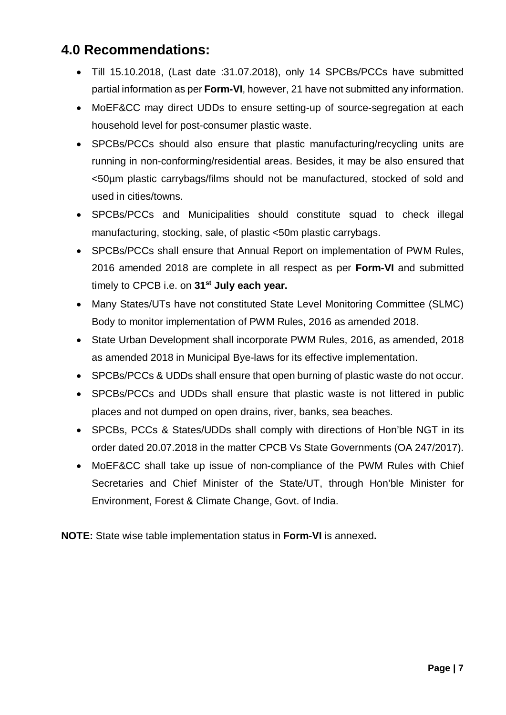#### **4.0 Recommendations:**

- Till 15.10.2018, (Last date :31.07.2018), only 14 SPCBs/PCCs have submitted partial information as per **Form-VI**, however, 21 have not submitted any information.
- MoEF&CC may direct UDDs to ensure setting-up of source-segregation at each household level for post-consumer plastic waste.
- SPCBs/PCCs should also ensure that plastic manufacturing/recycling units are running in non-conforming/residential areas. Besides, it may be also ensured that <50µm plastic carrybags/films should not be manufactured, stocked of sold and used in cities/towns.
- SPCBs/PCCs and Municipalities should constitute squad to check illegal manufacturing, stocking, sale, of plastic <50m plastic carrybags.
- SPCBs/PCCs shall ensure that Annual Report on implementation of PWM Rules, 2016 amended 2018 are complete in all respect as per **Form-VI** and submitted timely to CPCB i.e. on **31st July each year.**
- Many States/UTs have not constituted State Level Monitoring Committee (SLMC) Body to monitor implementation of PWM Rules, 2016 as amended 2018.
- State Urban Development shall incorporate PWM Rules, 2016, as amended, 2018 as amended 2018 in Municipal Bye-laws for its effective implementation.
- SPCBs/PCCs & UDDs shall ensure that open burning of plastic waste do not occur.
- SPCBs/PCCs and UDDs shall ensure that plastic waste is not littered in public places and not dumped on open drains, river, banks, sea beaches.
- SPCBs, PCCs & States/UDDs shall comply with directions of Hon'ble NGT in its order dated 20.07.2018 in the matter CPCB Vs State Governments (OA 247/2017).
- MoEF&CC shall take up issue of non-compliance of the PWM Rules with Chief Secretaries and Chief Minister of the State/UT, through Hon'ble Minister for Environment, Forest & Climate Change, Govt. of India.

**NOTE:** State wise table implementation status in **Form-VI** is annexed**.**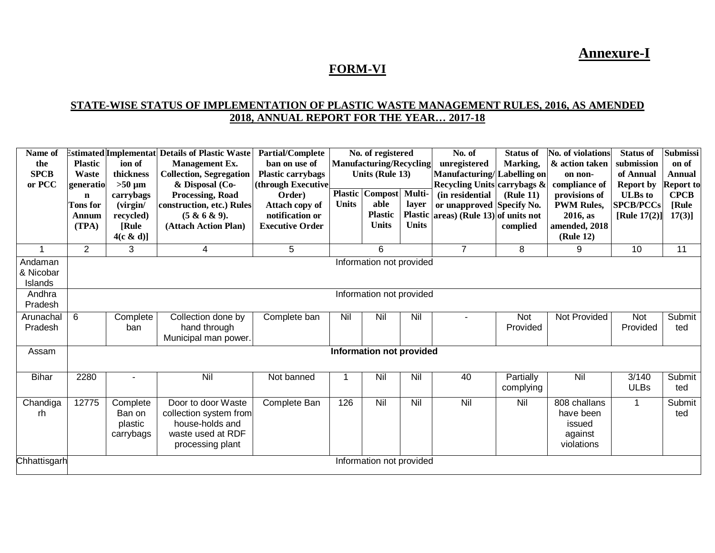**Annexure-I**

#### **FORM-VI**

#### **STATE-WISE STATUS OF IMPLEMENTATION OF PLASTIC WASTE MANAGEMENT RULES, 2016, AS AMENDED 2018, ANNUAL REPORT FOR THE YEAR… 2017-18**

| Name of<br>the<br><b>SPCB</b><br>or PCC | <b>Plastic</b><br><b>Waste</b><br>generatio<br>n<br><b>Tons</b> for<br>Annum<br>(TPA) | ion of<br>thickness<br>$>50 \mu m$<br>carrybags<br>(virgin/<br>recycled)<br>[Rule<br>4(c & d) | <b>Estimated Implementat Details of Plastic Waste</b><br><b>Management Ex.</b><br><b>Collection, Segregation</b><br>& Disposal (Co-<br><b>Processing, Road</b><br>construction, etc.) Rules<br>(5 & 6 & 9).<br>(Attach Action Plan) | <b>Partial/Complete</b><br>ban on use of<br><b>Plastic carrybags</b><br>(through Executive<br>Order)<br>Attach copy of<br>notification or<br><b>Executive Order</b> | <b>Plastic</b><br><b>Units</b> | No. of registered<br><b>Manufacturing/Recycling</b><br><b>Units (Rule 13)</b><br>Compost<br>able<br><b>Plastic</b><br><b>Units</b> | Multi-<br>layer<br><b>Plastic</b><br><b>Units</b> | No. of<br>unregistered<br>Manufacturing/<br>Recycling Units carrybags &<br>(in residential<br>or unapproved Specify No.<br>$ {\rm areas} $ (Rule 13) of units not | <b>Status of</b><br>Marking,<br>Labelling on<br>(Rule 11)<br>complied | <b>No. of violations</b><br>& action taken<br>on non-<br>compliance of<br>provisions of<br><b>PWM Rules,</b><br>2016, as<br>amended, 2018<br>(Rule 12) | <b>Status of</b><br>submission<br>of Annual<br><b>Report by</b><br><b>ULBs</b> to<br><b>SPCB/PCCs</b><br>[Rule $17(2)$ ] | <b>Submissi</b><br>on of<br><b>Annual</b><br><b>Report to</b><br><b>CPCB</b><br>[Rule<br>$17(3)$ ] |
|-----------------------------------------|---------------------------------------------------------------------------------------|-----------------------------------------------------------------------------------------------|-------------------------------------------------------------------------------------------------------------------------------------------------------------------------------------------------------------------------------------|---------------------------------------------------------------------------------------------------------------------------------------------------------------------|--------------------------------|------------------------------------------------------------------------------------------------------------------------------------|---------------------------------------------------|-------------------------------------------------------------------------------------------------------------------------------------------------------------------|-----------------------------------------------------------------------|--------------------------------------------------------------------------------------------------------------------------------------------------------|--------------------------------------------------------------------------------------------------------------------------|----------------------------------------------------------------------------------------------------|
| $\overline{1}$                          | $\overline{2}$                                                                        | 3                                                                                             | 4                                                                                                                                                                                                                                   | 5                                                                                                                                                                   |                                | 6                                                                                                                                  |                                                   | $\overline{7}$                                                                                                                                                    | 8                                                                     | 9                                                                                                                                                      | 10                                                                                                                       | 11                                                                                                 |
| Andaman<br>& Nicobar<br>Islands         | Information not provided                                                              |                                                                                               |                                                                                                                                                                                                                                     |                                                                                                                                                                     |                                |                                                                                                                                    |                                                   |                                                                                                                                                                   |                                                                       |                                                                                                                                                        |                                                                                                                          |                                                                                                    |
| Andhra<br>Pradesh                       | Information not provided                                                              |                                                                                               |                                                                                                                                                                                                                                     |                                                                                                                                                                     |                                |                                                                                                                                    |                                                   |                                                                                                                                                                   |                                                                       |                                                                                                                                                        |                                                                                                                          |                                                                                                    |
| Arunachal<br>Pradesh                    | 6                                                                                     | Complete<br>ban                                                                               | Collection done by<br>hand through<br>Municipal man power.                                                                                                                                                                          | Complete ban                                                                                                                                                        | Nil                            | Nil                                                                                                                                | Nil                                               |                                                                                                                                                                   | Not<br>Provided                                                       | Not Provided                                                                                                                                           | <b>Not</b><br>Provided                                                                                                   | Submit<br>ted                                                                                      |
| Assam                                   |                                                                                       |                                                                                               |                                                                                                                                                                                                                                     |                                                                                                                                                                     |                                | <b>Information not provided</b>                                                                                                    |                                                   |                                                                                                                                                                   |                                                                       |                                                                                                                                                        |                                                                                                                          |                                                                                                    |
| <b>Bihar</b>                            | 2280                                                                                  |                                                                                               | Nil                                                                                                                                                                                                                                 | Not banned                                                                                                                                                          |                                | Nil                                                                                                                                | Nil                                               | 40                                                                                                                                                                | Partially<br>complying                                                | Nil                                                                                                                                                    | 3/140<br><b>ULBs</b>                                                                                                     | Submit<br>ted                                                                                      |
| Chandiga<br>rh                          | 12775                                                                                 | Complete<br>Ban on<br>plastic<br>carrybags                                                    | Door to door Waste<br>collection system from<br>house-holds and<br>waste used at RDF<br>processing plant                                                                                                                            | Complete Ban                                                                                                                                                        | 126                            | Nil                                                                                                                                | Nil                                               | Nil                                                                                                                                                               | Nil                                                                   | 808 challans<br>have been<br>issued<br>against<br>violations                                                                                           | $\mathbf{1}$                                                                                                             | Submit<br>ted                                                                                      |
| Chhattisgarh                            | Information not provided                                                              |                                                                                               |                                                                                                                                                                                                                                     |                                                                                                                                                                     |                                |                                                                                                                                    |                                                   |                                                                                                                                                                   |                                                                       |                                                                                                                                                        |                                                                                                                          |                                                                                                    |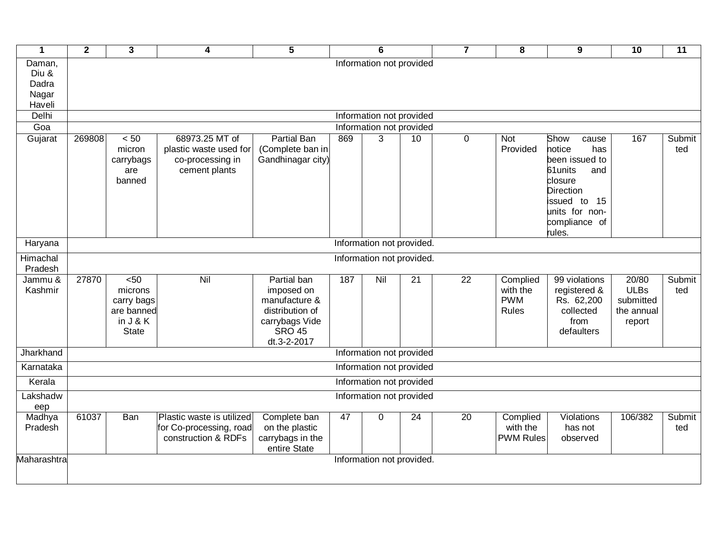| $\mathbf{1}$                                | $\overline{2}$            | $\overline{\mathbf{3}}$                                                  | 4                                                                             | $\overline{5}$                                                                                                  |     | 6                         |                 | $\overline{7}$  | $\overline{\mathbf{8}}$                     | $\overline{9}$                                                                                                                                                  | 10                                                        | $\overline{11}$ |
|---------------------------------------------|---------------------------|--------------------------------------------------------------------------|-------------------------------------------------------------------------------|-----------------------------------------------------------------------------------------------------------------|-----|---------------------------|-----------------|-----------------|---------------------------------------------|-----------------------------------------------------------------------------------------------------------------------------------------------------------------|-----------------------------------------------------------|-----------------|
| Daman,<br>Diu &<br>Dadra<br>Nagar<br>Haveli |                           |                                                                          |                                                                               |                                                                                                                 |     | Information not provided  |                 |                 |                                             |                                                                                                                                                                 |                                                           |                 |
| Delhi                                       | Information not provided  |                                                                          |                                                                               |                                                                                                                 |     |                           |                 |                 |                                             |                                                                                                                                                                 |                                                           |                 |
| Goa                                         | Information not provided  |                                                                          |                                                                               |                                                                                                                 |     |                           |                 |                 |                                             |                                                                                                                                                                 |                                                           |                 |
| Gujarat                                     | 269808                    | < 50<br>micron<br>carrybags<br>are<br>banned                             | 68973.25 MT of<br>plastic waste used for<br>co-processing in<br>cement plants | <b>Partial Ban</b><br>(Complete ban in<br>Gandhinagar city)                                                     | 869 | 3                         | 10              | 0               | <b>Not</b><br>Provided                      | Show<br>cause<br>notice<br>has<br>been issued to<br>61 units<br>and<br>closure<br><b>Direction</b><br>issued to 15<br>units for non-<br>compliance of<br>rules. | 167                                                       | Submit<br>ted   |
| Haryana                                     | Information not provided. |                                                                          |                                                                               |                                                                                                                 |     |                           |                 |                 |                                             |                                                                                                                                                                 |                                                           |                 |
| Himachal<br>Pradesh                         |                           |                                                                          |                                                                               |                                                                                                                 |     | Information not provided. |                 |                 |                                             |                                                                                                                                                                 |                                                           |                 |
| Jammu &<br>Kashmir                          | 27870                     | 50<<br>microns<br>carry bags<br>are banned<br>in $J & K$<br><b>State</b> | Nil                                                                           | Partial ban<br>imposed on<br>manufacture &<br>distribution of<br>carrybags Vide<br><b>SRO 45</b><br>dt.3-2-2017 | 187 | Nil                       | $\overline{21}$ | $\overline{22}$ | Complied<br>with the<br><b>PWM</b><br>Rules | 99 violations<br>registered &<br>Rs. 62,200<br>collected<br>from<br>defaulters                                                                                  | 20/80<br><b>ULBs</b><br>submitted<br>the annual<br>report | Submit<br>ted   |
| Jharkhand                                   |                           |                                                                          |                                                                               |                                                                                                                 |     | Information not provided  |                 |                 |                                             |                                                                                                                                                                 |                                                           |                 |
| Karnataka                                   |                           |                                                                          |                                                                               |                                                                                                                 |     | Information not provided  |                 |                 |                                             |                                                                                                                                                                 |                                                           |                 |
| Kerala                                      |                           |                                                                          |                                                                               |                                                                                                                 |     | Information not provided  |                 |                 |                                             |                                                                                                                                                                 |                                                           |                 |
| Lakshadw<br>eep                             |                           |                                                                          |                                                                               |                                                                                                                 |     | Information not provided  |                 |                 |                                             |                                                                                                                                                                 |                                                           |                 |
| Madhya<br>Pradesh                           | 61037                     | <b>Ban</b>                                                               | Plastic waste is utilized<br>for Co-processing, road<br>construction & RDFs   | Complete ban<br>on the plastic<br>carrybags in the<br>entire State                                              | 47  | $\Omega$                  | $\overline{24}$ | $\overline{20}$ | Complied<br>with the<br><b>PWM Rules</b>    | Violations<br>has not<br>observed                                                                                                                               | 106/382                                                   | Submit<br>ted   |
| Maharashtra                                 |                           |                                                                          |                                                                               |                                                                                                                 |     | Information not provided. |                 |                 |                                             |                                                                                                                                                                 |                                                           |                 |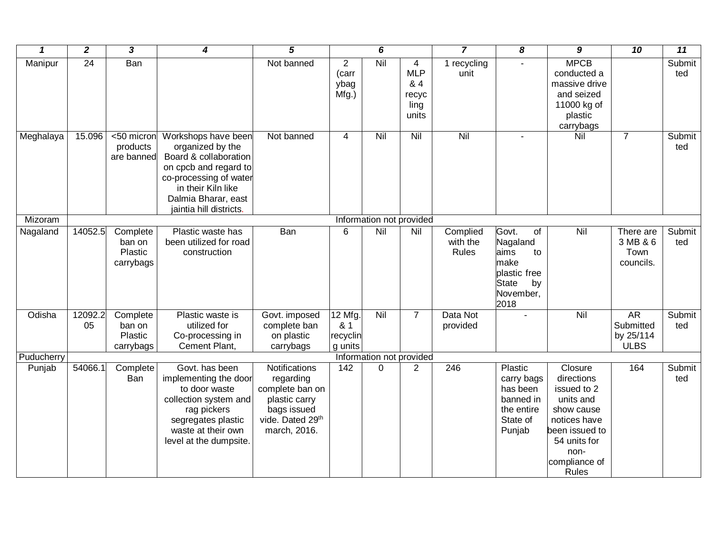| $\mathbf{1}$ | $\overline{2}$  | $\overline{\mathbf{3}}$                    | $\boldsymbol{4}$                                                                                                                                                                            | $\overline{5}$                                                                                                    |                                          | $\overline{6}$           |                                                  | $\overline{\mathbf{z}}$       | $\overline{\boldsymbol{8}}$                                                                                           | $\overline{g}$                                                                                                                                             | $\overline{10}$                                    | $\overline{11}$ |
|--------------|-----------------|--------------------------------------------|---------------------------------------------------------------------------------------------------------------------------------------------------------------------------------------------|-------------------------------------------------------------------------------------------------------------------|------------------------------------------|--------------------------|--------------------------------------------------|-------------------------------|-----------------------------------------------------------------------------------------------------------------------|------------------------------------------------------------------------------------------------------------------------------------------------------------|----------------------------------------------------|-----------------|
| Manipur      | $\overline{24}$ | <b>Ban</b>                                 |                                                                                                                                                                                             | Not banned                                                                                                        | $\overline{2}$<br>(carr<br>ybag<br>Mfg.) | Nil                      | 4<br><b>MLP</b><br>& 4<br>recyc<br>ling<br>units | 1 recycling<br>unit           |                                                                                                                       | <b>MPCB</b><br>conducted a<br>massive drive<br>and seized<br>11000 kg of<br>plastic<br>carrybags                                                           |                                                    | Submit<br>ted   |
| Meghalaya    | 15.096          | <50 micron<br>products<br>are banned       | Workshops have been<br>organized by the<br>Board & collaboration<br>on cpcb and regard to<br>co-processing of water<br>in their Kiln like<br>Dalmia Bharar, east<br>jaintia hill districts. | Not banned                                                                                                        | $\overline{4}$                           | Nil                      | Nil                                              | Nil                           |                                                                                                                       | Nil                                                                                                                                                        | $\overline{7}$                                     | Submit<br>ted   |
| Mizoram      |                 |                                            |                                                                                                                                                                                             |                                                                                                                   |                                          | Information not provided |                                                  |                               |                                                                                                                       |                                                                                                                                                            |                                                    |                 |
| Nagaland     | 14052.5         | Complete<br>ban on<br>Plastic<br>carrybags | Plastic waste has<br>been utilized for road<br>construction                                                                                                                                 | Ban                                                                                                               | 6                                        | Nil                      | Nil                                              | Complied<br>with the<br>Rules | Govt.<br>$\overline{of}$<br>Nagaland<br>aims<br>to<br>make<br>plastic free<br><b>State</b><br>by<br>November,<br>2018 | Nil                                                                                                                                                        | There are<br>3 MB & 6<br>Town<br>councils.         | Submit<br>ted   |
| Odisha       | 12092.2<br>05   | Complete<br>ban on<br>Plastic<br>carrybags | Plastic waste is<br>utilized for<br>Co-processing in<br>Cement Plant,                                                                                                                       | Govt. imposed<br>complete ban<br>on plastic<br>carrybags                                                          | 12 Mfg.<br>& 1<br>recyclin<br>g units    | Nil                      | $\overline{7}$                                   | Data Not<br>provided          |                                                                                                                       | $\overline{N}$                                                                                                                                             | <b>AR</b><br>Submitted<br>by 25/114<br><b>ULBS</b> | Submit<br>ted   |
| Puducherry   |                 |                                            |                                                                                                                                                                                             |                                                                                                                   |                                          | Information not provided |                                                  |                               |                                                                                                                       |                                                                                                                                                            |                                                    |                 |
| Punjab       | 54066.1         | Complete<br>Ban                            | Govt. has been<br>implementing the door<br>to door waste<br>collection system and<br>rag pickers<br>segregates plastic<br>waste at their own<br>level at the dumpsite.                      | Notifications<br>regarding<br>complete ban on<br>plastic carry<br>bags issued<br>vide. Dated 29th<br>march, 2016. | $\overline{142}$                         | 0                        | $\overline{2}$                                   | 246                           | Plastic<br>carry bags<br>has been<br>banned in<br>the entire<br>State of<br>Punjab                                    | Closure<br>directions<br>issued to 2<br>units and<br>show cause<br>notices have<br>been issued to<br>54 units for<br>non-<br>compliance of<br><b>Rules</b> | 164                                                | Submit<br>ted   |